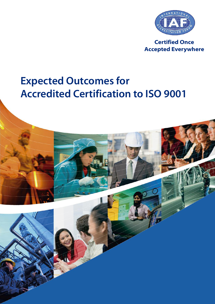

**Certified Once Accepted Everywhere**

# **Expected Outcomes for Accredited Certification to ISO 9001**

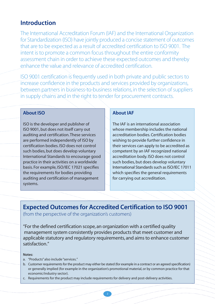## **Introduction**

The International Accreditation Forum (IAF) and the International Organization for Standardization (ISO) have jointly produced a concise statement of outcomes that are to be expected as a result of accredited certification to ISO 9001. The intent is to promote a common focus throughout the entire conformity assessment chain in order to achieve these expected outcomes and thereby enhance the value and relevance of accredited certification.

ISO 9001 certification is frequently used in both private and public sectors to increase confidence in the products and services provided by organizations, between partners in business-to-business relations, in the selection of suppliers in supply chains and in the right to tender for procurement contracts.

### **About ISO**

ISO is the developer and publisher of ISO 9001,but does not itself carry out auditing and certification.These services are performed independently of ISO by certification bodies. ISO does not control such bodies, but does develop voluntary International Standards to encourage good practice in their activities on a worldwide basis. For example, ISO/IEC 17021 specifies the requirements for bodies providing auditing and certification of management systems.

#### **About IAF**

The IAF is an international association whose membership includes the national accreditation bodies.Certification bodies wishing to provide further confidence in their services can apply to be accredited as competent by an IAF recognized national accreditation body. ISO does not control such bodies, but does develop voluntary International Standards such as ISO/IEC 17011 which specifies the general requirements for carrying out accreditation.

**Expected Outcomes for Accredited Certification to ISO 9001**

(from the perspective of the organization's customers)

"For the defined certification scope, an organization with a certified quality management system consistently provides products that meet customer and applicable statutory and regulatory requirements, and aims to enhance customer satisfaction."

#### **Notes:**

- a. "Products"also include"services."
- b. Customer requirements for the product may either be stated (for example in a contract or an agreed specification) or generally implied (for example in the organization's promotional material, or by common practice for that economic/industry sector).

2

c. Requirements for the product may include requirements for delivery and post-delivery activities.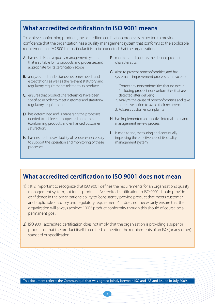# **What accredited certification to ISO 9001 means**

To achieve conforming products, the accredited certification process is expected to provide confidence that the organization has a quality management system that conforms to the applicable requirements of ISO 9001. In particular, it is to be expected that the organization:

- A. has established a quality management system that is suitable for its products and processes, and appropriate for its certification scope
- B. analyzes and understands customer needs and expectations, as well as the relevant statutory and regulatory requirements related to its products
- C. ensures that product characteristics have been specified in order to meet customer and statutory/ regulatory requirements
- D. has determined and is managing the processes needed to achieve the expected outcomes (conforming products and enhanced customer satisfaction)
- E. has ensured the availability of resources necessary to support the operation and monitoring of these processes
- F. monitors and controls the defined product characteristics
- G. aims to prevent nonconformities, and has systematic improvement processes in place to:
	- 1. Correct any nonconformities that do occur (including product nonconformities that are detected after delivery)
	- 2. Analyze the cause of nonconformities and take corrective action to avoid their recurrence
	- 3. Address customer complaints
- H. has implemented an effective internal audit and management review process
- I. is monitoring, measuring and continually improving the effectiveness of its quality management system

## **What accredited certification to ISO 9001 does not mean**

- 1) ) It is important to recognize that ISO 9001 defines the requirements for an organization's quality management system,not for its products. Accredited certification to ISO 9001 should provide confidence in the organization's ability to"consistently provide product that meets customer and applicable statutory and regulatory requirements". It does not necessarily ensure that the organization will always achieve 100% product conformity,though this should of course be a permanent goal.
- 2) ISO 9001 accredited certification does not imply that the organization is providing a superior product, or that the product itself is certified as meeting the requirements of an ISO (or any other) standard or specification.

This document reflects the Communiqué that was agreed jointly between ISO and IAF and issued in July 2009.